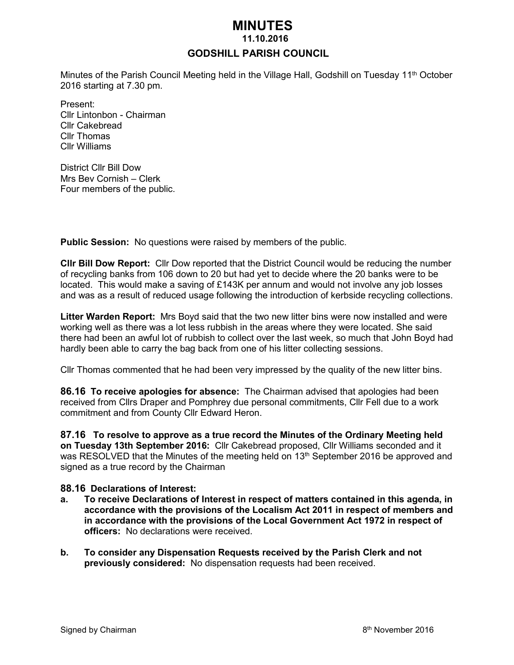# *MINUTES*

#### **11.10.2016**

#### **GODSHILL PARISH COUNCIL**

Minutes of the Parish Council Meeting held in the Village Hall, Godshill on Tuesday 11<sup>th</sup> October 2016 starting at 7.30 pm.

Present: Cllr Lintonbon - Chairman Cllr Cakebread Cllr Thomas Cllr Williams

District Cllr Bill Dow Mrs Bev Cornish – Clerk Four members of the public.

**Public Session:** No questions were raised by members of the public.

**Cllr Bill Dow Report:** Cllr Dow reported that the District Council would be reducing the number of recycling banks from 106 down to 20 but had yet to decide where the 20 banks were to be located. This would make a saving of £143K per annum and would not involve any job losses and was as a result of reduced usage following the introduction of kerbside recycling collections.

**Litter Warden Report:** Mrs Boyd said that the two new litter bins were now installed and were working well as there was a lot less rubbish in the areas where they were located. She said there had been an awful lot of rubbish to collect over the last week, so much that John Boyd had hardly been able to carry the bag back from one of his litter collecting sessions.

Cllr Thomas commented that he had been very impressed by the quality of the new litter bins.

**86.16 To receive apologies for absence:** The Chairman advised that apologies had been received from Cllrs Draper and Pomphrey due personal commitments, Cllr Fell due to a work commitment and from County Cllr Edward Heron.

**87.16 To resolve to approve as a true record the Minutes of the Ordinary Meeting held on Tuesday 13th September 2016:** Cllr Cakebread proposed, Cllr Williams seconded and it was RESOLVED that the Minutes of the meeting held on 13<sup>th</sup> September 2016 be approved and signed as a true record by the Chairman

#### **88.16 Declarations of Interest:**

- **a. To receive Declarations of Interest in respect of matters contained in this agenda, in accordance with the provisions of the Localism Act 2011 in respect of members and in accordance with the provisions of the Local Government Act 1972 in respect of officers:** No declarations were received.
- **b. To consider any Dispensation Requests received by the Parish Clerk and not previously considered:** No dispensation requests had been received.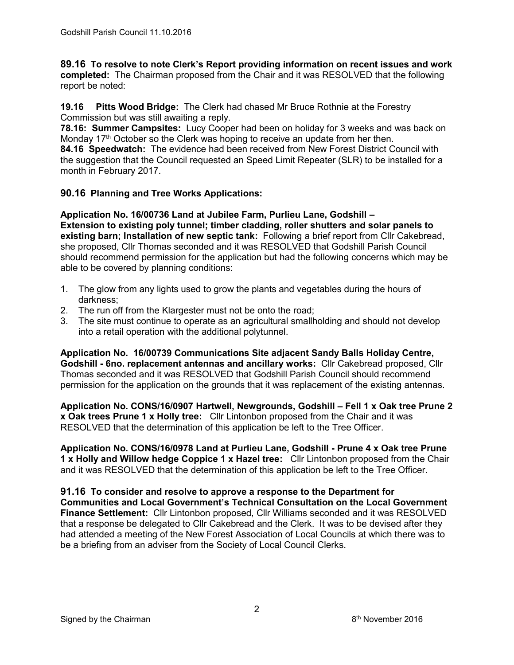**89.16 To resolve to note Clerk's Report providing information on recent issues and work completed:** The Chairman proposed from the Chair and it was RESOLVED that the following report be noted:

**19.16 Pitts Wood Bridge:** The Clerk had chased Mr Bruce Rothnie at the Forestry Commission but was still awaiting a reply.

**78.16: Summer Campsites:** Lucy Cooper had been on holiday for 3 weeks and was back on Monday 17<sup>th</sup> October so the Clerk was hoping to receive an update from her then.

**84.16 Speedwatch:** The evidence had been received from New Forest District Council with the suggestion that the Council requested an Speed Limit Repeater (SLR) to be installed for a month in February 2017.

### **90.16 Planning and Tree Works Applications:**

**Application No. 16/00736 Land at Jubilee Farm, Purlieu Lane, Godshill – Extension to existing poly tunnel; timber cladding, roller shutters and solar panels to existing barn; Installation of new septic tank:** Following a brief report from Cllr Cakebread, she proposed, Cllr Thomas seconded and it was RESOLVED that Godshill Parish Council should recommend permission for the application but had the following concerns which may be able to be covered by planning conditions:

- 1. The glow from any lights used to grow the plants and vegetables during the hours of darkness;
- 2. The run off from the Klargester must not be onto the road;
- 3. The site must continue to operate as an agricultural smallholding and should not develop into a retail operation with the additional polytunnel.

**Application No. 16/00739 Communications Site adjacent Sandy Balls Holiday Centre, Godshill - 6no. replacement antennas and ancillary works:** Cllr Cakebread proposed, Cllr Thomas seconded and it was RESOLVED that Godshill Parish Council should recommend permission for the application on the grounds that it was replacement of the existing antennas.

**Application No. CONS/16/0907 Hartwell, Newgrounds, Godshill – Fell 1 x Oak tree Prune 2 x Oak trees Prune 1 x Holly tree:** Cllr Lintonbon proposed from the Chair and it was RESOLVED that the determination of this application be left to the Tree Officer.

**Application No. CONS/16/0978 Land at Purlieu Lane, Godshill - Prune 4 x Oak tree Prune 1 x Holly and Willow hedge Coppice 1 x Hazel tree:** Cllr Lintonbon proposed from the Chair and it was RESOLVED that the determination of this application be left to the Tree Officer.

**91.16 To consider and resolve to approve a response to the Department for Communities and Local Government's Technical Consultation on the [Local Government](https://www.gov.uk/government/consultations/local-government-finance-settlement-2017-to-2018-technical-consultation)  [Finance Settlement:](https://www.gov.uk/government/consultations/local-government-finance-settlement-2017-to-2018-technical-consultation)** Cllr Lintonbon proposed, Cllr Williams seconded and it was RESOLVED that a response be delegated to Cllr Cakebread and the Clerk. It was to be devised after they had attended a meeting of the New Forest Association of Local Councils at which there was to be a briefing from an adviser from the Society of Local Council Clerks.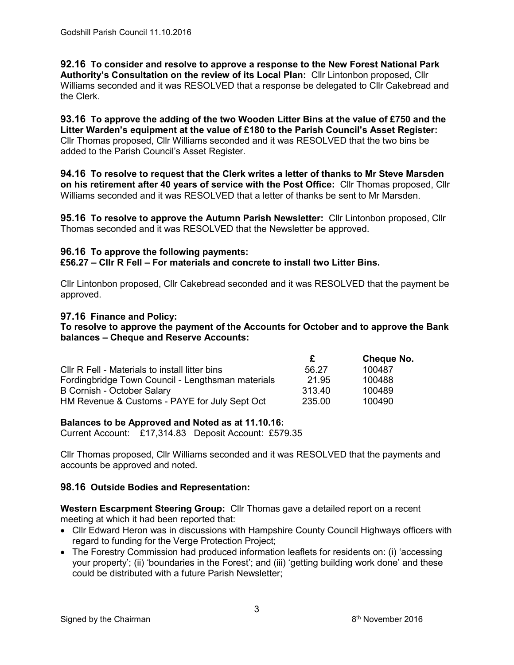**92.16 To consider and resolve to approve a response to the New Forest National Park Authority's Consultation on the review of its Local Plan:** Cllr Lintonbon proposed, Cllr Williams seconded and it was RESOLVED that a response be delegated to Cllr Cakebread and the Clerk.

**93.16 To approve the adding of the two Wooden Litter Bins at the value of £750 and the Litter Warden's equipment at the value of £180 to the Parish Council's Asset Register:**  Cllr Thomas proposed, Cllr Williams seconded and it was RESOLVED that the two bins be added to the Parish Council's Asset Register.

**94.16 To resolve to request that the Clerk writes a letter of thanks to Mr Steve Marsden on his retirement after 40 years of service with the Post Office:** Cllr Thomas proposed, Cllr Williams seconded and it was RESOLVED that a letter of thanks be sent to Mr Marsden.

**95.16 To resolve to approve the Autumn Parish Newsletter:** Cllr Lintonbon proposed, Cllr Thomas seconded and it was RESOLVED that the Newsletter be approved.

#### **96.16 To approve the following payments:**

**£56.27 – Cllr R Fell – For materials and concrete to install two Litter Bins.**

Cllr Lintonbon proposed, Cllr Cakebread seconded and it was RESOLVED that the payment be approved.

### **97.16 Finance and Policy:**

**To resolve to approve the payment of the Accounts for October and to approve the Bank balances – Cheque and Reserve Accounts:**

|                                                   |        | <b>Cheque No.</b> |
|---------------------------------------------------|--------|-------------------|
| CIIr R Fell - Materials to install litter bins    | 56.27  | 100487            |
| Fordingbridge Town Council - Lengthsman materials | 21.95  | 100488            |
| B Cornish - October Salary                        | 313.40 | 100489            |
| HM Revenue & Customs - PAYE for July Sept Oct     | 235.00 | 100490            |

#### **Balances to be Approved and Noted as at 11.10.16:**

Current Account: £17,314.83 Deposit Account: £579.35

Cllr Thomas proposed, Cllr Williams seconded and it was RESOLVED that the payments and accounts be approved and noted.

# **98.16 Outside Bodies and Representation:**

**Western Escarpment Steering Group:** Cllr Thomas gave a detailed report on a recent meeting at which it had been reported that:

- Cllr Edward Heron was in discussions with Hampshire County Council Highways officers with regard to funding for the Verge Protection Project;
- The Forestry Commission had produced information leaflets for residents on: (i) 'accessing your property'; (ii) 'boundaries in the Forest'; and (iii) 'getting building work done' and these could be distributed with a future Parish Newsletter;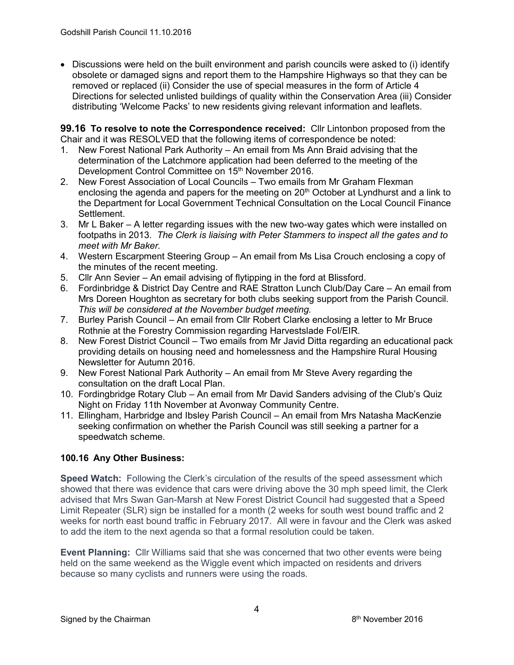Discussions were held on the built environment and parish councils were asked to (i) identify obsolete or damaged signs and report them to the Hampshire Highways so that they can be removed or replaced (ii) Consider the use of special measures in the form of Article 4 Directions for selected unlisted buildings of quality within the Conservation Area (iii) Consider distributing 'Welcome Packs' to new residents giving relevant information and leaflets.

**99.16 To resolve to note the Correspondence received:** Cllr Lintonbon proposed from the Chair and it was RESOLVED that the following items of correspondence be noted:

- 1. New Forest National Park Authority An email from Ms Ann Braid advising that the determination of the Latchmore application had been deferred to the meeting of the Development Control Committee on 15<sup>th</sup> November 2016.
- 2. New Forest Association of Local Councils Two emails from Mr Graham Flexman enclosing the agenda and papers for the meeting on 20<sup>th</sup> October at Lyndhurst and a link to the Department for Local Government Technical Consultation on the Local Council Finance Settlement.
- 3. Mr L Baker A letter regarding issues with the new two-way gates which were installed on footpaths in 2013. *The Clerk is liaising with Peter Stammers to inspect all the gates and to meet with Mr Baker.*
- 4. Western Escarpment Steering Group An email from Ms Lisa Crouch enclosing a copy of the minutes of the recent meeting.
- 5. Cllr Ann Sevier An email advising of flytipping in the ford at Blissford.
- 6. Fordinbridge & District Day Centre and RAE Stratton Lunch Club/Day Care An email from Mrs Doreen Houghton as secretary for both clubs seeking support from the Parish Council. *This will be considered at the November budget meeting.*
- 7. Burley Parish Council An email from Cllr Robert Clarke enclosing a letter to Mr Bruce Rothnie at the Forestry Commission regarding Harvestslade FoI/EIR.
- 8. New Forest District Council Two emails from Mr Javid Ditta regarding an educational pack providing details on housing need and homelessness and the Hampshire Rural Housing Newsletter for Autumn 2016.
- 9. New Forest National Park Authority An email from Mr Steve Avery regarding the consultation on the draft Local Plan.
- 10. Fordingbridge Rotary Club An email from Mr David Sanders advising of the Club's Quiz Night on Friday 11th November at Avonway Community Centre.
- 11. Ellingham, Harbridge and Ibsley Parish Council An email from Mrs Natasha MacKenzie seeking confirmation on whether the Parish Council was still seeking a partner for a speedwatch scheme.

# **100.16 Any Other Business:**

**Speed Watch:** Following the Clerk's circulation of the results of the speed assessment which showed that there was evidence that cars were driving above the 30 mph speed limit, the Clerk advised that Mrs Swan Gan-Marsh at New Forest District Council had suggested that a Speed Limit Repeater (SLR) sign be installed for a month (2 weeks for south west bound traffic and 2 weeks for north east bound traffic in February 2017. All were in favour and the Clerk was asked to add the item to the next agenda so that a formal resolution could be taken.

**Event Planning:** Cllr Williams said that she was concerned that two other events were being held on the same weekend as the Wiggle event which impacted on residents and drivers because so many cyclists and runners were using the roads.